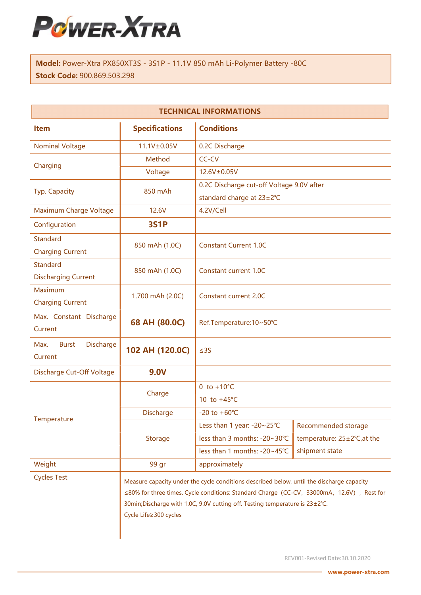

Model: Power-Xtra PX850XT3S - 3S1P - 11.1V 850 mAh Li-Polymer Battery -80C Stock Code: 900.869.503.298

| <b>TECHNICAL INFORMATIONS</b>                       |                                                                                           |                                           |                             |  |
|-----------------------------------------------------|-------------------------------------------------------------------------------------------|-------------------------------------------|-----------------------------|--|
| <b>Item</b>                                         | <b>Specifications</b>                                                                     | <b>Conditions</b>                         |                             |  |
| <b>Nominal Voltage</b>                              | 11.1V±0.05V                                                                               | 0.2C Discharge                            |                             |  |
| Charging                                            | Method                                                                                    | CC-CV                                     |                             |  |
|                                                     | Voltage                                                                                   | 12.6V±0.05V                               |                             |  |
| Typ. Capacity                                       | 850 mAh                                                                                   | 0.2C Discharge cut-off Voltage 9.0V after |                             |  |
|                                                     |                                                                                           | standard charge at 23±2°C                 |                             |  |
| Maximum Charge Voltage                              | 12.6V                                                                                     | 4.2V/Cell                                 |                             |  |
| Configuration                                       | <b>3S1P</b>                                                                               |                                           |                             |  |
| <b>Standard</b>                                     | 850 mAh (1.0C)                                                                            | <b>Constant Current 1.0C</b>              |                             |  |
| <b>Charging Current</b>                             |                                                                                           |                                           |                             |  |
| <b>Standard</b>                                     | 850 mAh (1.0C)                                                                            | Constant current 1.0C                     |                             |  |
| <b>Discharging Current</b>                          |                                                                                           |                                           |                             |  |
| Maximum                                             | 1.700 mAh (2.0C)                                                                          | <b>Constant current 2.0C</b>              |                             |  |
| <b>Charging Current</b>                             |                                                                                           |                                           |                             |  |
| Max. Constant Discharge                             | 68 AH (80.0C)                                                                             | Ref.Temperature:10~50°C                   |                             |  |
| Current                                             |                                                                                           |                                           |                             |  |
| <b>Discharge</b><br>Max.<br><b>Burst</b><br>Current | 102 AH (120.0C)                                                                           | $\leq$ 3S                                 |                             |  |
| Discharge Cut-Off Voltage                           | <b>9.0V</b>                                                                               |                                           |                             |  |
|                                                     | Charge                                                                                    | 0 to $+10^{\circ}$ C                      |                             |  |
|                                                     |                                                                                           | 10 to $+45^{\circ}$ C                     |                             |  |
|                                                     | <b>Discharge</b>                                                                          | $-20$ to $+60^{\circ}$ C                  |                             |  |
| Temperature                                         | <b>Storage</b>                                                                            | Less than 1 year: -20~25°C                | Recommended storage         |  |
|                                                     |                                                                                           | less than 3 months: -20~30°C              | temperature: 25±2°C, at the |  |
|                                                     |                                                                                           | less than 1 months: -20~45°C              | shipment state              |  |
| Weight                                              | 99 gr                                                                                     | approximately                             |                             |  |
| <b>Cycles Test</b>                                  | Measure capacity under the cycle conditions described below, until the discharge capacity |                                           |                             |  |
|                                                     | ≤80% for three times. Cycle conditions: Standard Charge (CC-CV, 33000mA, 12.6V), Rest for |                                           |                             |  |
|                                                     | 30min; Discharge with 1.0C, 9.0V cutting off. Testing temperature is 23±2°C.              |                                           |                             |  |
|                                                     | Cycle Life≥300 cycles                                                                     |                                           |                             |  |
|                                                     |                                                                                           |                                           |                             |  |

REV001-Revised Date:30.10.2020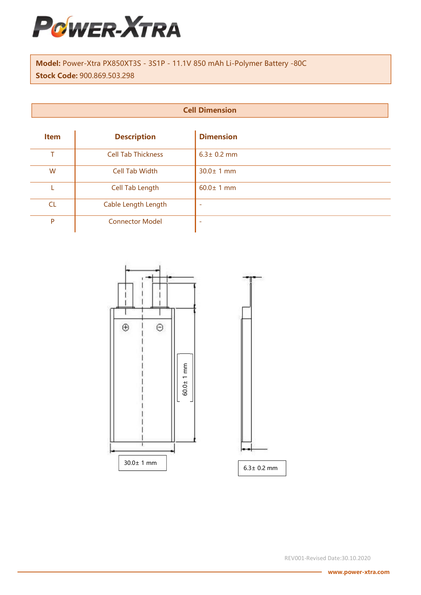

Model: Power-Xtra PX850XT3S - 3S1P - 11.1V 850 mAh Li-Polymer Battery -80C Stock Code: 900.869.503.298

| <b>Cell Dimension</b> |  |
|-----------------------|--|
|                       |  |

| <b>Item</b> | <b>Description</b>        | <b>Dimension</b> |
|-------------|---------------------------|------------------|
| т           | <b>Cell Tab Thickness</b> | $6.3 \pm 0.2$ mm |
| W           | <b>Cell Tab Width</b>     | $30.0 \pm 1$ mm  |
|             | Cell Tab Length           | $60.0 \pm 1$ mm  |
| CL          | Cable Length Length       |                  |
| P           | <b>Connector Model</b>    |                  |



REV001-Revised Date:30.10.2020